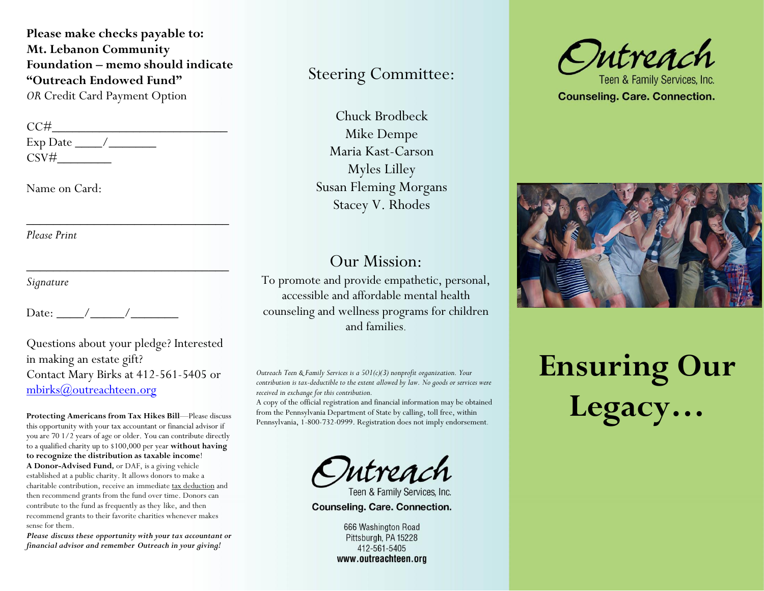**Please make checks payable to: Mt. Lebanon Community Foundation – memo should indicate "Outreach Endowed Fund"**  *OR* Credit Card Payment Option

 $\overline{\phantom{a}}$  ,  $\overline{\phantom{a}}$  ,  $\overline{\phantom{a}}$  ,  $\overline{\phantom{a}}$  ,  $\overline{\phantom{a}}$  ,  $\overline{\phantom{a}}$  ,  $\overline{\phantom{a}}$  ,  $\overline{\phantom{a}}$  ,  $\overline{\phantom{a}}$  ,  $\overline{\phantom{a}}$  ,  $\overline{\phantom{a}}$  ,  $\overline{\phantom{a}}$  ,  $\overline{\phantom{a}}$  ,  $\overline{\phantom{a}}$  ,  $\overline{\phantom{a}}$  ,  $\overline{\phantom{a}}$ 

\_\_\_\_\_\_\_\_\_\_\_\_\_\_\_\_\_\_\_\_\_\_\_\_\_\_\_\_\_\_

 $CC#$ Exp Date  $\_\_\_\/$ CSV#\_\_\_\_\_\_\_\_

Name on Card:

*Please Print*

*Signature*

Date: \_\_\_\_/\_\_\_\_\_/\_\_\_\_\_\_\_

Questions about your pledge? Interested in making an estate gift? Contact Mary Birks at 412-561-5405 or [mbirks@outreachteen.org](mailto:mbirks@outreachteen.org)

**Protecting Americans from Tax Hikes Bill**—Please discuss this opportunity with your tax accountant or financial advisor if you are 70 1/2 years of age or older. You can contribute directly to a qualified charity up to \$100,000 per year **without having to recognize the distribution as taxable income**! **A Donor-Advised Fund***,* or DAF, is a giving vehicle established at a public charity. It allows donors to make a charitable contribution, receive an immediate [tax deduction](https://www.nptrust.org/what-is-a-donor-advised-fund/daf-tax-consideration/) and then recommend grants from the fund over time. Donors can contribute to the fund as frequently as they like, and then recommend grants to their favorite charities whenever makes sense for them.

*Please discuss these opportunity with your tax accountant or financial advisor and remember Outreach in your giving!*

### Steering Committee:

Chuck Brodbeck Mike Dempe Maria Kast-Carson Myles Lilley Susan Fleming Morgans Stacey V. Rhodes

#### Our Mission:

To promote and provide empathetic, personal, accessible and affordable mental health counseling and wellness programs for children and families.

*Outreach Teen & Family Services is a 501(c)(3) nonprofit organization. Your contribution is tax-deductible to the extent allowed by law. No goods or services were received in exchange for this contribution.*

A copy of the official registration and financial information may be obtained from the Pennsylvania Department of State by calling, toll free, within Pennsylvania, 1-800-732-0999. Registration does not imply endorsement.

Intreach

Counseling. Care. Connection.

666 Washington Road Pittsburgh, PA 15228 412-561-5405 www.outreachteen.org



Teen & Family Services. Inc **Counseling. Care. Connection.** 



# **Ensuring Our Legacy…**